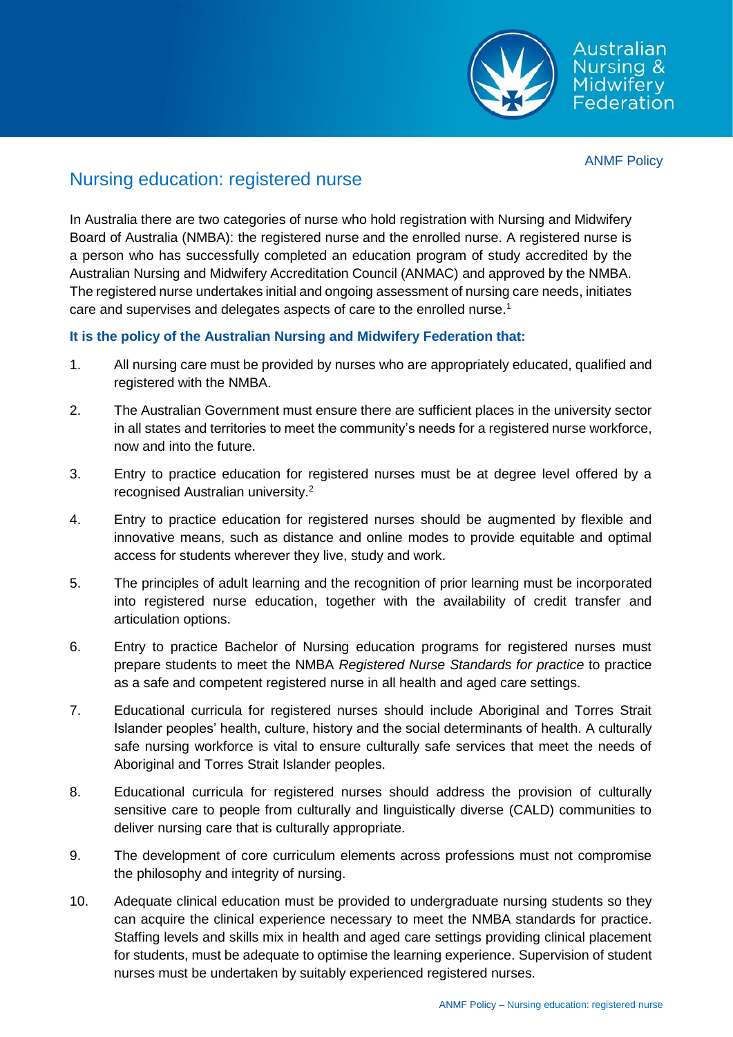

Australian

# Nursing education: registered nurse

In Australia there are two categories of nurse who hold registration with Nursing and Midwifery Board of Australia (NMBA): the registered nurse and the enrolled nurse. A registered nurse is a person who has successfully completed an education program of study accredited by the Australian Nursing and Midwifery Accreditation Council (ANMAC) and approved by the NMBA. The registered nurse undertakes initial and ongoing assessment of nursing care needs, initiates care and supervises and delegates aspects of care to the enrolled nurse.<sup>1</sup>

## **It is the policy of the Australian Nursing and Midwifery Federation that:**

- 1. All nursing care must be provided by nurses who are appropriately educated, qualified and registered with the NMBA.
- 2. The Australian Government must ensure there are sufficient places in the university sector in all states and territories to meet the community's needs for a registered nurse workforce, now and into the future.
- 3. Entry to practice education for registered nurses must be at degree level offered by a recognised Australian university.<sup>2</sup>
- 4. Entry to practice education for registered nurses should be augmented by flexible and innovative means, such as distance and online modes to provide equitable and optimal access for students wherever they live, study and work.
- 5. The principles of adult learning and the recognition of prior learning must be incorporated into registered nurse education, together with the availability of credit transfer and articulation options.
- 6. Entry to practice Bachelor of Nursing education programs for registered nurses must prepare students to meet the NMBA *Registered Nurse Standards for practice* to practice as a safe and competent registered nurse in all health and aged care settings.
- 7. Educational curricula for registered nurses should include Aboriginal and Torres Strait Islander peoples' health, culture, history and the social determinants of health. A culturally safe nursing workforce is vital to ensure culturally safe services that meet the needs of Aboriginal and Torres Strait Islander peoples.
- 8. Educational curricula for registered nurses should address the provision of culturally sensitive care to people from culturally and linguistically diverse (CALD) communities to deliver nursing care that is culturally appropriate.
- 9. The development of core curriculum elements across professions must not compromise the philosophy and integrity of nursing.
- 10. Adequate clinical education must be provided to undergraduate nursing students so they can acquire the clinical experience necessary to meet the NMBA standards for practice. Staffing levels and skills mix in health and aged care settings providing clinical placement for students, must be adequate to optimise the learning experience. Supervision of student nurses must be undertaken by suitably experienced registered nurses.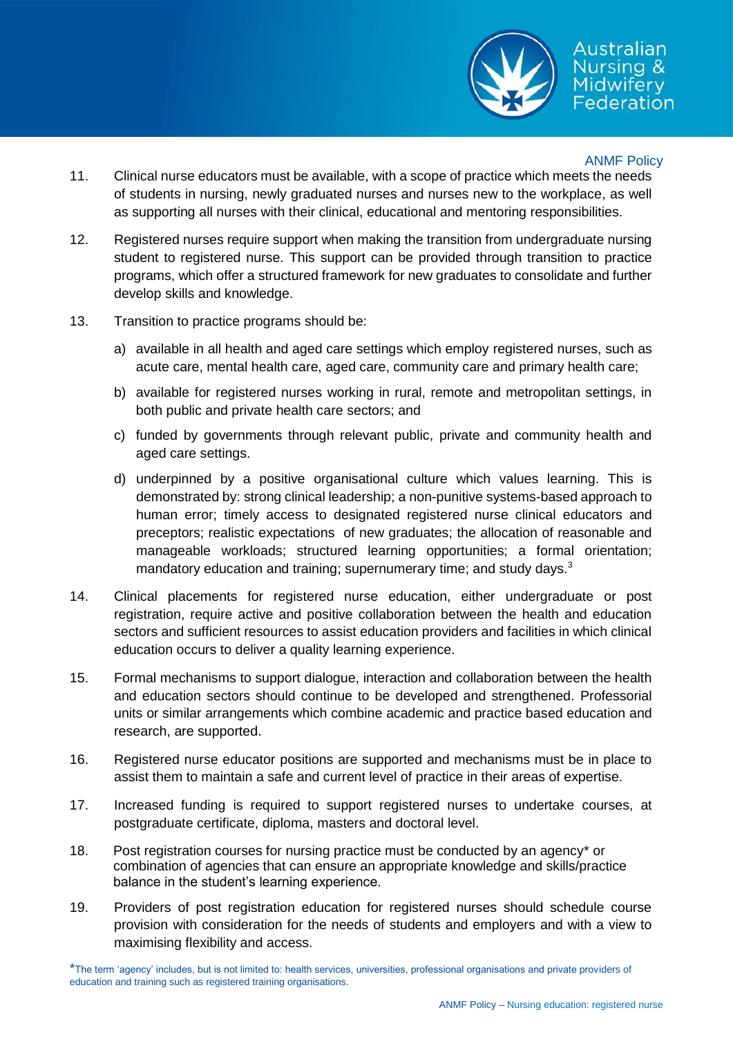

## Australian Nursina & **Midwifery** Federation

### ANMF Policy

- 11. Clinical nurse educators must be available, with a scope of practice which meets the needs of students in nursing, newly graduated nurses and nurses new to the workplace, as well as supporting all nurses with their clinical, educational and mentoring responsibilities.
- 12. Registered nurses require support when making the transition from undergraduate nursing student to registered nurse. This support can be provided through transition to practice programs, which offer a structured framework for new graduates to consolidate and further develop skills and knowledge.
- 13. Transition to practice programs should be:
	- a) available in all health and aged care settings which employ registered nurses, such as acute care, mental health care, aged care, community care and primary health care;
	- b) available for registered nurses working in rural, remote and metropolitan settings, in both public and private health care sectors; and
	- c) funded by governments through relevant public, private and community health and aged care settings.
	- d) underpinned by a positive organisational culture which values learning. This is demonstrated by: strong clinical leadership; a non-punitive systems-based approach to human error; timely access to designated registered nurse clinical educators and preceptors; realistic expectations of new graduates; the allocation of reasonable and manageable workloads; structured learning opportunities; a formal orientation; mandatory education and training; supernumerary time; and study days.<sup>3</sup>
- 14. Clinical placements for registered nurse education, either undergraduate or post registration, require active and positive collaboration between the health and education sectors and sufficient resources to assist education providers and facilities in which clinical education occurs to deliver a quality learning experience.
- 15. Formal mechanisms to support dialogue, interaction and collaboration between the health and education sectors should continue to be developed and strengthened. Professorial units or similar arrangements which combine academic and practice based education and research, are supported.
- 16. Registered nurse educator positions are supported and mechanisms must be in place to assist them to maintain a safe and current level of practice in their areas of expertise.
- 17. Increased funding is required to support registered nurses to undertake courses, at postgraduate certificate, diploma, masters and doctoral level.
- 18. Post registration courses for nursing practice must be conducted by an agency\* or combination of agencies that can ensure an appropriate knowledge and skills/practice balance in the student's learning experience.
- 19. Providers of post registration education for registered nurses should schedule course provision with consideration for the needs of students and employers and with a view to maximising flexibility and access.

<sup>\*</sup>The term 'agency' includes, but is not limited to: health services, universities, professional organisations and private providers of education and training such as registered training organisations.